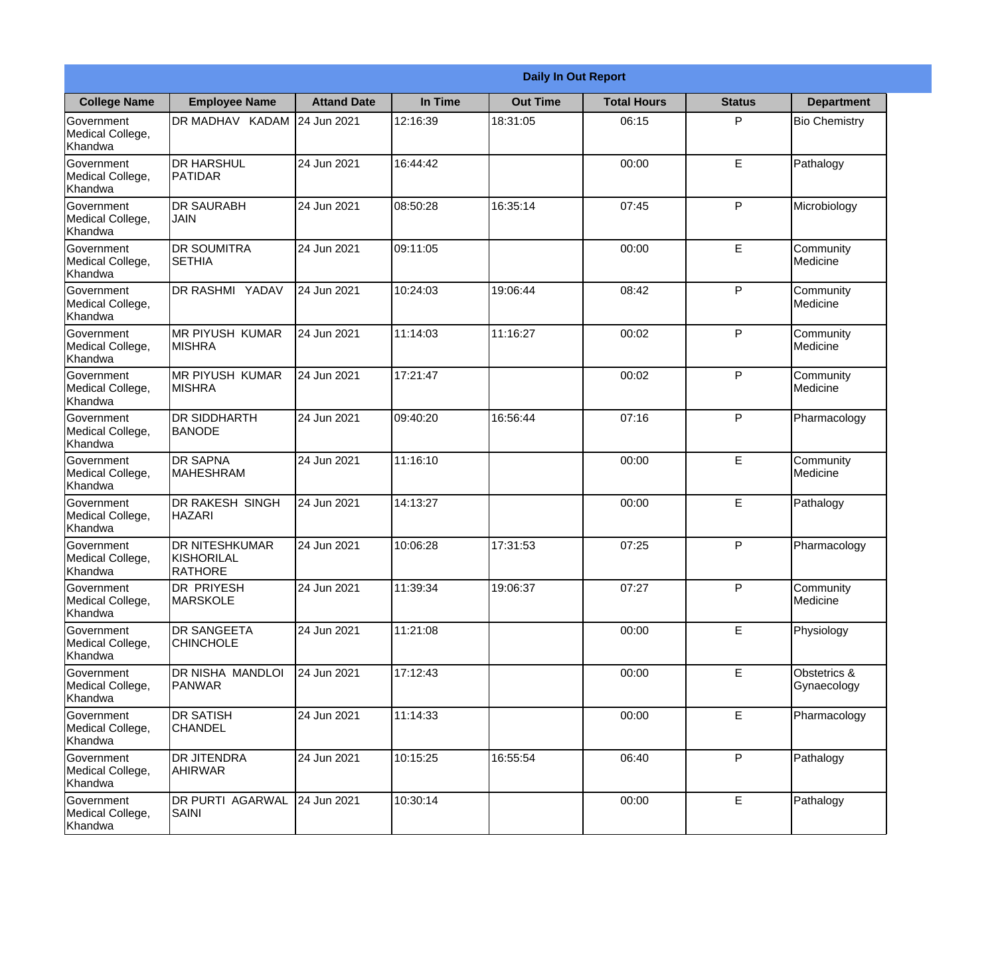|                                                  | <b>Daily In Out Report</b>                            |                    |          |                 |                    |               |                             |
|--------------------------------------------------|-------------------------------------------------------|--------------------|----------|-----------------|--------------------|---------------|-----------------------------|
| <b>College Name</b>                              | <b>Employee Name</b>                                  | <b>Attand Date</b> | In Time  | <b>Out Time</b> | <b>Total Hours</b> | <b>Status</b> | <b>Department</b>           |
| Government<br>Medical College,<br>Khandwa        | DR MADHAV KADAM                                       | 24 Jun 2021        | 12:16:39 | 18:31:05        | 06:15              | P             | <b>Bio Chemistry</b>        |
| Government<br>Medical College,<br>Khandwa        | <b>DR HARSHUL</b><br>PATIDAR                          | 24 Jun 2021        | 16:44:42 |                 | 00:00              | E             | Pathalogy                   |
| <b>Government</b><br>Medical College,<br>Khandwa | <b>DR SAURABH</b><br><b>JAIN</b>                      | 24 Jun 2021        | 08:50:28 | 16:35:14        | 07:45              | P             | Microbiology                |
| <b>Government</b><br>Medical College,<br>Khandwa | <b>DR SOUMITRA</b><br><b>SETHIA</b>                   | 24 Jun 2021        | 09:11:05 |                 | 00:00              | E             | Community<br>Medicine       |
| Government<br>Medical College,<br>Khandwa        | <b>DR RASHMI YADAV</b>                                | 24 Jun 2021        | 10:24:03 | 19:06:44        | 08:42              | P             | Community<br>Medicine       |
| Government<br>Medical College,<br>Khandwa        | <b>IMR PIYUSH KUMAR</b><br><b>MISHRA</b>              | 24 Jun 2021        | 11:14:03 | 11:16:27        | 00:02              | P             | Community<br>Medicine       |
| Government<br>Medical College,<br>Khandwa        | IMR PIYUSH KUMAR<br><b>MISHRA</b>                     | 24 Jun 2021        | 17:21:47 |                 | 00:02              | P             | Community<br>Medicine       |
| <b>Government</b><br>Medical College,<br>Khandwa | <b>DR SIDDHARTH</b><br><b>BANODE</b>                  | 24 Jun 2021        | 09:40:20 | 16:56:44        | 07:16              | P             | Pharmacology                |
| Government<br>Medical College,<br>Khandwa        | <b>DR SAPNA</b><br><b>MAHESHRAM</b>                   | 24 Jun 2021        | 11:16:10 |                 | 00:00              | E             | Community<br>Medicine       |
| Government<br>Medical College,<br>Khandwa        | <b>DR RAKESH SINGH</b><br><b>HAZARI</b>               | 24 Jun 2021        | 14:13:27 |                 | 00:00              | E             | Pathalogy                   |
| Government<br>Medical College,<br>Khandwa        | <b>DR NITESHKUMAR</b><br>KISHORILAL<br><b>RATHORE</b> | 24 Jun 2021        | 10:06:28 | 17:31:53        | 07:25              | $\mathsf{P}$  | Pharmacology                |
| Government<br>Medical College,<br>Khandwa        | <b>DR PRIYESH</b><br><b>MARSKOLE</b>                  | 24 Jun 2021        | 11:39:34 | 19:06:37        | 07:27              | P             | Community<br>Medicine       |
| Government<br>Medical College,<br>Khandwa        | <b>DR SANGEETA</b><br><b>CHINCHOLE</b>                | 24 Jun 2021        | 11:21:08 |                 | 00:00              | E             | Physiology                  |
| <b>Government</b><br>Medical College,<br>Khandwa | DR NISHA MANDLOI<br>PANWAR                            | 24 Jun 2021        | 17:12:43 |                 | 00:00              | E             | Obstetrics &<br>Gynaecology |
| Government<br>Medical College,<br>Khandwa        | <b>DR SATISH</b><br><b>CHANDEL</b>                    | 24 Jun 2021        | 11:14:33 |                 | 00:00              | E             | Pharmacology                |
| Government<br>Medical College,<br>Khandwa        | <b>DR JITENDRA</b><br>AHIRWAR                         | 24 Jun 2021        | 10:15:25 | 16:55:54        | 06:40              | P             | Pathalogy                   |
| Government<br>Medical College,<br>Khandwa        | DR PURTI AGARWAL<br><b>SAINI</b>                      | 24 Jun 2021        | 10:30:14 |                 | 00:00              | E             | Pathalogy                   |